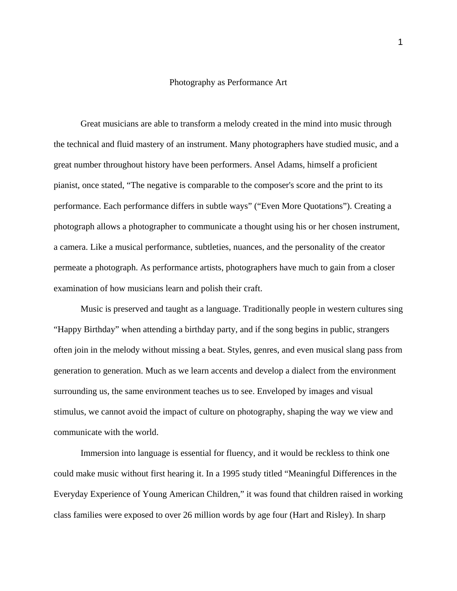## Photography as Performance Art

 Great musicians are able to transform a melody created in the mind into music through the technical and fluid mastery of an instrument. Many photographers have studied music, and a great number throughout history have been performers. Ansel Adams, himself a proficient pianist, once stated, "The negative is comparable to the composer's score and the print to its performance. Each performance differs in subtle ways" ("Even More Quotations"). Creating a photograph allows a photographer to communicate a thought using his or her chosen instrument, a camera. Like a musical performance, subtleties, nuances, and the personality of the creator permeate a photograph. As performance artists, photographers have much to gain from a closer examination of how musicians learn and polish their craft.

 Music is preserved and taught as a language. Traditionally people in western cultures sing "Happy Birthday" when attending a birthday party, and if the song begins in public, strangers often join in the melody without missing a beat. Styles, genres, and even musical slang pass from generation to generation. Much as we learn accents and develop a dialect from the environment surrounding us, the same environment teaches us to see. Enveloped by images and visual stimulus, we cannot avoid the impact of culture on photography, shaping the way we view and communicate with the world.

 Immersion into language is essential for fluency, and it would be reckless to think one could make music without first hearing it. In a 1995 study titled "Meaningful Differences in the Everyday Experience of Young American Children," it was found that children raised in working class families were exposed to over 26 million words by age four (Hart and Risley). In sharp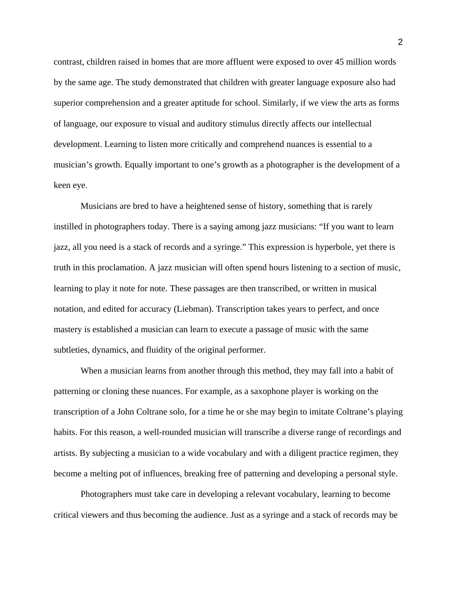contrast, children raised in homes that are more affluent were exposed to over 45 million words by the same age. The study demonstrated that children with greater language exposure also had superior comprehension and a greater aptitude for school. Similarly, if we view the arts as forms of language, our exposure to visual and auditory stimulus directly affects our intellectual development. Learning to listen more critically and comprehend nuances is essential to a musician's growth. Equally important to one's growth as a photographer is the development of a keen eye.

 Musicians are bred to have a heightened sense of history, something that is rarely instilled in photographers today. There is a saying among jazz musicians: "If you want to learn jazz, all you need is a stack of records and a syringe." This expression is hyperbole, yet there is truth in this proclamation. A jazz musician will often spend hours listening to a section of music, learning to play it note for note. These passages are then transcribed, or written in musical notation, and edited for accuracy (Liebman). Transcription takes years to perfect, and once mastery is established a musician can learn to execute a passage of music with the same subtleties, dynamics, and fluidity of the original performer.

 When a musician learns from another through this method, they may fall into a habit of patterning or cloning these nuances. For example, as a saxophone player is working on the transcription of a John Coltrane solo, for a time he or she may begin to imitate Coltrane's playing habits. For this reason, a well-rounded musician will transcribe a diverse range of recordings and artists. By subjecting a musician to a wide vocabulary and with a diligent practice regimen, they become a melting pot of influences, breaking free of patterning and developing a personal style.

Photographers must take care in developing a relevant vocabulary, learning to become critical viewers and thus becoming the audience. Just as a syringe and a stack of records may be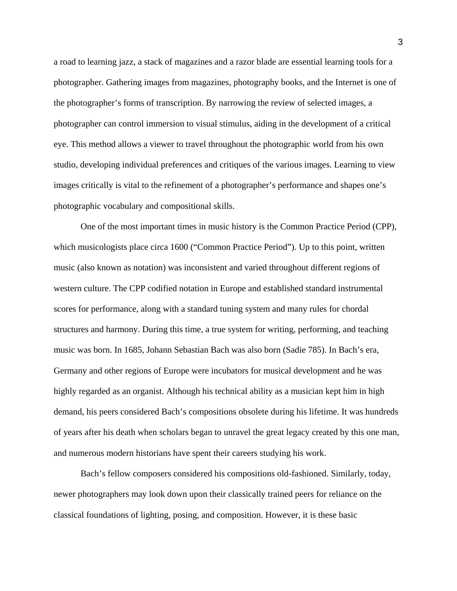a road to learning jazz, a stack of magazines and a razor blade are essential learning tools for a photographer. Gathering images from magazines, photography books, and the Internet is one of the photographer's forms of transcription. By narrowing the review of selected images, a photographer can control immersion to visual stimulus, aiding in the development of a critical eye. This method allows a viewer to travel throughout the photographic world from his own studio, developing individual preferences and critiques of the various images. Learning to view images critically is vital to the refinement of a photographer's performance and shapes one's photographic vocabulary and compositional skills.

One of the most important times in music history is the Common Practice Period (CPP), which musicologists place circa 1600 ("Common Practice Period"). Up to this point, written music (also known as notation) was inconsistent and varied throughout different regions of western culture. The CPP codified notation in Europe and established standard instrumental scores for performance, along with a standard tuning system and many rules for chordal structures and harmony. During this time, a true system for writing, performing, and teaching music was born. In 1685, Johann Sebastian Bach was also born (Sadie 785). In Bach's era, Germany and other regions of Europe were incubators for musical development and he was highly regarded as an organist. Although his technical ability as a musician kept him in high demand, his peers considered Bach's compositions obsolete during his lifetime. It was hundreds of years after his death when scholars began to unravel the great legacy created by this one man, and numerous modern historians have spent their careers studying his work.

Bach's fellow composers considered his compositions old-fashioned. Similarly, today, newer photographers may look down upon their classically trained peers for reliance on the classical foundations of lighting, posing, and composition. However, it is these basic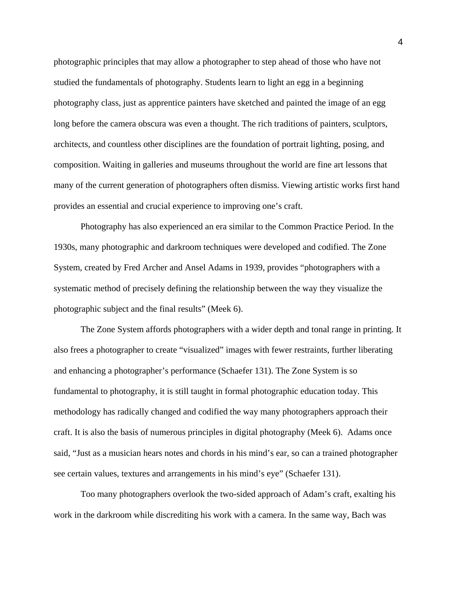photographic principles that may allow a photographer to step ahead of those who have not studied the fundamentals of photography. Students learn to light an egg in a beginning photography class, just as apprentice painters have sketched and painted the image of an egg long before the camera obscura was even a thought. The rich traditions of painters, sculptors, architects, and countless other disciplines are the foundation of portrait lighting, posing, and composition. Waiting in galleries and museums throughout the world are fine art lessons that many of the current generation of photographers often dismiss. Viewing artistic works first hand provides an essential and crucial experience to improving one's craft.

 Photography has also experienced an era similar to the Common Practice Period. In the 1930s, many photographic and darkroom techniques were developed and codified. The Zone System, created by Fred Archer and Ansel Adams in 1939, provides "photographers with a systematic method of precisely defining the relationship between the way they visualize the photographic subject and the final results" (Meek 6).

The Zone System affords photographers with a wider depth and tonal range in printing. It also frees a photographer to create "visualized" images with fewer restraints, further liberating and enhancing a photographer's performance (Schaefer 131). The Zone System is so fundamental to photography, it is still taught in formal photographic education today. This methodology has radically changed and codified the way many photographers approach their craft. It is also the basis of numerous principles in digital photography (Meek 6). Adams once said, "Just as a musician hears notes and chords in his mind's ear, so can a trained photographer see certain values, textures and arrangements in his mind's eye" (Schaefer 131).

 Too many photographers overlook the two-sided approach of Adam's craft, exalting his work in the darkroom while discrediting his work with a camera. In the same way, Bach was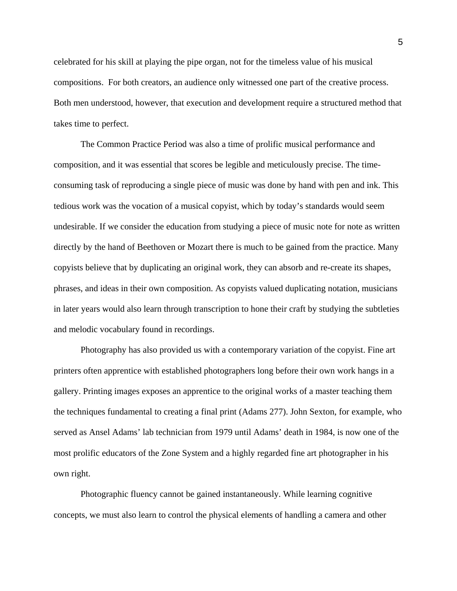celebrated for his skill at playing the pipe organ, not for the timeless value of his musical compositions. For both creators, an audience only witnessed one part of the creative process. Both men understood, however, that execution and development require a structured method that takes time to perfect.

The Common Practice Period was also a time of prolific musical performance and composition, and it was essential that scores be legible and meticulously precise. The timeconsuming task of reproducing a single piece of music was done by hand with pen and ink. This tedious work was the vocation of a musical copyist, which by today's standards would seem undesirable. If we consider the education from studying a piece of music note for note as written directly by the hand of Beethoven or Mozart there is much to be gained from the practice. Many copyists believe that by duplicating an original work, they can absorb and re-create its shapes, phrases, and ideas in their own composition. As copyists valued duplicating notation, musicians in later years would also learn through transcription to hone their craft by studying the subtleties and melodic vocabulary found in recordings.

Photography has also provided us with a contemporary variation of the copyist. Fine art printers often apprentice with established photographers long before their own work hangs in a gallery. Printing images exposes an apprentice to the original works of a master teaching them the techniques fundamental to creating a final print (Adams 277). John Sexton, for example, who served as Ansel Adams' lab technician from 1979 until Adams' death in 1984, is now one of the most prolific educators of the Zone System and a highly regarded fine art photographer in his own right.

Photographic fluency cannot be gained instantaneously. While learning cognitive concepts, we must also learn to control the physical elements of handling a camera and other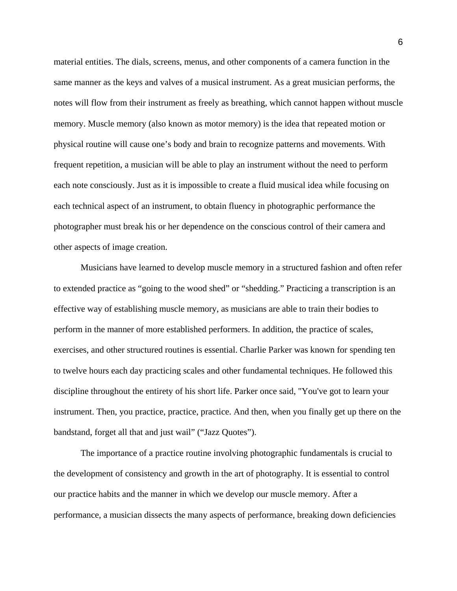material entities. The dials, screens, menus, and other components of a camera function in the same manner as the keys and valves of a musical instrument. As a great musician performs, the notes will flow from their instrument as freely as breathing, which cannot happen without muscle memory. Muscle memory (also known as motor memory) is the idea that repeated motion or physical routine will cause one's body and brain to recognize patterns and movements. With frequent repetition, a musician will be able to play an instrument without the need to perform each note consciously. Just as it is impossible to create a fluid musical idea while focusing on each technical aspect of an instrument, to obtain fluency in photographic performance the photographer must break his or her dependence on the conscious control of their camera and other aspects of image creation.

Musicians have learned to develop muscle memory in a structured fashion and often refer to extended practice as "going to the wood shed" or "shedding." Practicing a transcription is an effective way of establishing muscle memory, as musicians are able to train their bodies to perform in the manner of more established performers. In addition, the practice of scales, exercises, and other structured routines is essential. Charlie Parker was known for spending ten to twelve hours each day practicing scales and other fundamental techniques. He followed this discipline throughout the entirety of his short life. Parker once said, "You've got to learn your instrument. Then, you practice, practice, practice. And then, when you finally get up there on the bandstand, forget all that and just wail" ("Jazz Quotes").

 The importance of a practice routine involving photographic fundamentals is crucial to the development of consistency and growth in the art of photography. It is essential to control our practice habits and the manner in which we develop our muscle memory. After a performance, a musician dissects the many aspects of performance, breaking down deficiencies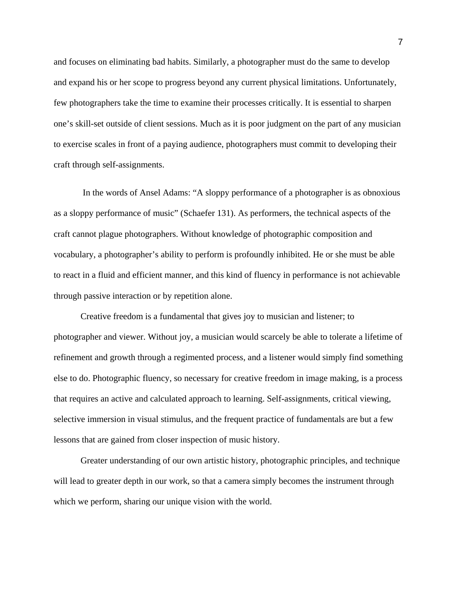and focuses on eliminating bad habits. Similarly, a photographer must do the same to develop and expand his or her scope to progress beyond any current physical limitations. Unfortunately, few photographers take the time to examine their processes critically. It is essential to sharpen one's skill-set outside of client sessions. Much as it is poor judgment on the part of any musician to exercise scales in front of a paying audience, photographers must commit to developing their craft through self-assignments.

 In the words of Ansel Adams: "A sloppy performance of a photographer is as obnoxious as a sloppy performance of music" (Schaefer 131). As performers, the technical aspects of the craft cannot plague photographers. Without knowledge of photographic composition and vocabulary, a photographer's ability to perform is profoundly inhibited. He or she must be able to react in a fluid and efficient manner, and this kind of fluency in performance is not achievable through passive interaction or by repetition alone.

Creative freedom is a fundamental that gives joy to musician and listener; to photographer and viewer. Without joy, a musician would scarcely be able to tolerate a lifetime of refinement and growth through a regimented process, and a listener would simply find something else to do. Photographic fluency, so necessary for creative freedom in image making, is a process that requires an active and calculated approach to learning. Self-assignments, critical viewing, selective immersion in visual stimulus, and the frequent practice of fundamentals are but a few lessons that are gained from closer inspection of music history.

Greater understanding of our own artistic history, photographic principles, and technique will lead to greater depth in our work, so that a camera simply becomes the instrument through which we perform, sharing our unique vision with the world.